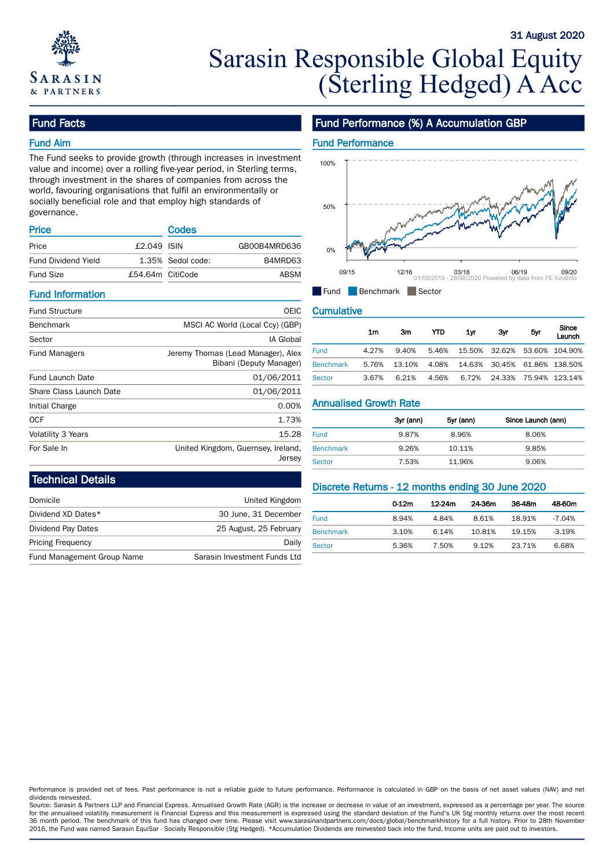

# Sarasin Responsible Global Equity (Sterling Hedged) A Acc

### Fund Facts

### Fund Aim

The Fund seeks to provide growth (through increases in investment value and income) over a rolling five-year period, in Sterling terms, through investment in the shares of companies from across the world, favouring organisations that fulfil an environmentally or socially beneficial role and that employ high standards of governance.

| <b>Price</b>               |                  | Codes             |              |       |
|----------------------------|------------------|-------------------|--------------|-------|
| Price                      | $£2.049$ ISIN    |                   | GB00B4MRD636 | 0%    |
| <b>Fund Dividend Yield</b> |                  | 1.35% Sedol code: | B4MRD63      |       |
| <b>Fund Size</b>           | £54.64m CitiCode |                   | ABSM         | 09/15 |

#### Fund Information

| <b>Fund Structure</b>     | <b>OEIC</b>                        | <b>Cumulative</b>             |                |           |            |           |        |                    |                |
|---------------------------|------------------------------------|-------------------------------|----------------|-----------|------------|-----------|--------|--------------------|----------------|
| Benchmark                 | MSCI AC World (Local Ccy) (GBP)    |                               |                |           |            |           |        |                    | Since          |
| Sector                    | IA Global                          |                               | 1 <sub>m</sub> | 3m        | <b>YTD</b> | 1yr       | 3yr    | 5yr                | Launch         |
| <b>Fund Managers</b>      | Jeremy Thomas (Lead Manager), Alex | <b>Fund</b>                   | 4.27%          | 9.40%     | 5.46%      | 15.50%    | 32.62% |                    | 53.60% 104.90% |
|                           | Bibani (Deputy Manager)            | <b>Benchmark</b>              | 5.76%          | 13.10%    | 4.08%      | 14.63%    | 30.45% |                    | 61.86% 138.50% |
| Fund Launch Date          | 01/06/2011                         | <b>Sector</b>                 | 3.67%          | 6.21%     | 4.56%      | 6.72%     | 24.33% |                    | 75.94% 123.14% |
| Share Class Launch Date   | 01/06/2011                         |                               |                |           |            |           |        |                    |                |
| Initial Charge            | 0.00%                              | <b>Annualised Growth Rate</b> |                |           |            |           |        |                    |                |
| <b>OCF</b>                | 1.73%                              |                               |                | 3yr (ann) |            | 5yr (ann) |        | Since Launch (ann) |                |
| <b>Volatility 3 Years</b> | 15.28                              | <b>Fund</b>                   |                | 9.87%     |            | 8.96%     |        | 8.06%              |                |
| For Sale In               | United Kingdom, Guernsey, Ireland, | <b>Benchmark</b>              |                | 9.26%     |            | 10.11%    |        | 9.85%              |                |
|                           | Jersey                             | Sector                        |                | 753%      |            | 11.96%    |        | 9.06%              |                |

# Fund Performance (%) A Accumulation GBP

31 August 2020



Fund Benchmark Sector

|                  | 1m    | 3m     | YTD   | 1yr                          | 3yr | 5yr | Since<br>__ <del></del><br>Launch |
|------------------|-------|--------|-------|------------------------------|-----|-----|-----------------------------------|
| <b>Fund</b>      | 4.27% | 9.40%  | 5.46% | 15.50% 32.62% 53.60% 104.90% |     |     |                                   |
| <b>Benchmark</b> | 5.76% | 13.10% | 4.08% | 14.63% 30.45% 61.86% 138.50% |     |     |                                   |
| <b>Sector</b>    | 3.67% | 6.21%  | 4.56% |                              |     |     | 6.72% 24.33% 75.94% 123.14%       |

|                  | 3yr (ann) | 5yr (ann) | Since Launch (ann) |
|------------------|-----------|-----------|--------------------|
| <b>Fund</b>      | 9.87%     | 8.96%     | 8.06%              |
| <b>Benchmark</b> | 9.26%     | 10.11%    | 9.85%              |
| Sector           | 7.53%     | 11.96%    | 9.06%              |

### Technical Details

| Domicile                   | United Kingdom               |                  | 0.12m | 12-24m | 24-36m | 36 |
|----------------------------|------------------------------|------------------|-------|--------|--------|----|
| Dividend XD Dates*         | 30 June, 31 December         | <b>Fund</b>      | 8.94% | 4.84%  | 8.61%  | 18 |
| Dividend Pay Dates         | 25 August, 25 February       | <b>Benchmark</b> | 3.10% | 6.14%  | 10.81% | 19 |
| <b>Pricing Frequency</b>   | Daily                        | Sector           | 5.36% | 7.50%  | 9.12%  | 23 |
| Fund Management Group Name | Sarasin Investment Funds Ltd |                  |       |        |        |    |

# Discrete Returns - 12 months ending 30 June 2020

|                  | 0.12m | 12-24m | 24-36m | 36-48m | 48-60m    |
|------------------|-------|--------|--------|--------|-----------|
| <b>Fund</b>      | 8.94% | 4.84%  | 8.61%  | 18.91% | $-7.04\%$ |
| <b>Benchmark</b> | 3.10% | 6.14%  | 10.81% | 19.15% | $-3.19%$  |
| <b>Sector</b>    | 5.36% | 7.50%  | 9.12%  | 23.71% | 6.68%     |

Performance is provided net of fees. Past performance is not a reliable guide to future performance. Performance is calculated in GBP on the basis of net asset values (NAV) and net dividends reinvested.

Source: Sarasin & Partners LLP and Financial Express. Annualised Growth Rate (AGR) is the increase or decrease in value of an investment, expressed as a percentage per year. The source for the annualised volatility measurement is Financial Express and this measurement is expressed using the standard deviation of the Fund's UK Stg monthly returns over the most recent 36 month period. The benchmark of this fund has changed over time. Please visit www.sarasinandpartners.com/docs/global/benchmarkhistory for a full history. Prior to 28th November 2016, the Fund was named Sarasin EquiSar - Socially Responsible (Stg Hedged). \*Accumulation Dividends are reinvested back into the fund, Income units are paid out to investors.